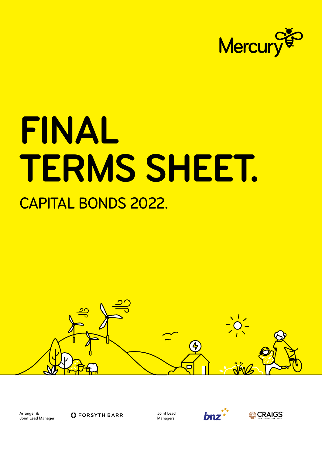

# **FINAL TERMS SHEET.** CAPITAL BONDS 2022.



Arranger & Joint Lead Manager

**C** FORSYTH BARR

Joint Lead Managers



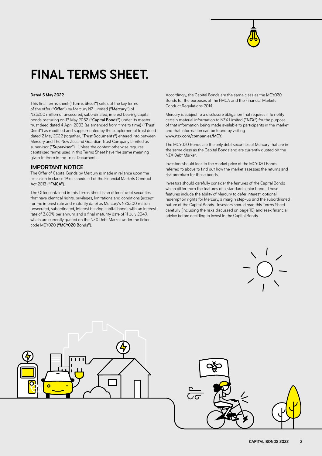

# **FINAL TERMS SHEET.**

#### **Dated 5 May 2022**

This final terms sheet ("Terms Sheet") sets out the key terms of the offer ("Offer") by Mercury NZ Limited ("Mercury") of NZ\$250 million of unsecured, subordinated, interest bearing capital bonds maturing on 13 May 2052 ("Capital Bonds") under its master trust deed dated 4 April 2003 (as amended from time to time) ("Trust Deed") as modified and supplemented by the supplemental trust deed dated 2 May 2022 (together, "Trust Documents") entered into between Mercury and The New Zealand Guardian Trust Company Limited as supervisor ("Supervisor"). Unless the context otherwise requires, capitalised terms used in this Terms Sheet have the same meaning given to them in the Trust Documents.

#### **IMPORTANT NOTICE**

The Offer of Capital Bonds by Mercury is made in reliance upon the exclusion in clause 19 of schedule 1 of the Financial Markets Conduct Act 2013 ("FMCA").

The Offer contained in this Terms Sheet is an offer of debt securities that have identical rights, privileges, limitations and conditions (except for the interest rate and maturity date) as Mercury's NZ\$300 million unsecured, subordinated, interest bearing capital bonds with an interest rate of 3.60% per annum and a final maturity date of 11 July 2049, which are currently quoted on the NZX Debt Market under the ticker code MCY020 ("MCY020 Bonds").

Accordingly, the Capital Bonds are the same class as the MCY020 Bonds for the purposes of the FMCA and the Financial Markets Conduct Regulations 2014.

Mercury is subject to a disclosure obligation that requires it to notify certain material information to NZX Limited ("NZX") for the purpose of that information being made available to participants in the market and that information can be found by visiting [www.nzx.com/companies/MCY](http://www.nzx.com/companies/MCY).

The MCY020 Bonds are the only debt securities of Mercury that are in the same class as the Capital Bonds and are currently quoted on the NZX Debt Market.

Investors should look to the market price of the MCY020 Bonds referred to above to find out how the market assesses the returns and risk premium for those bonds.

Investors should carefully consider the features of the Capital Bonds which differ from the features of a standard senior bond. Those features include the ability of Mercury to defer interest, optional redemption rights for Mercury, a margin step-up and the subordinated nature of the Capital Bonds. Investors should read this Terms Sheet carefully (including the risks discussed on page 10) and seek financial advice before deciding to invest in the Capital Bonds.



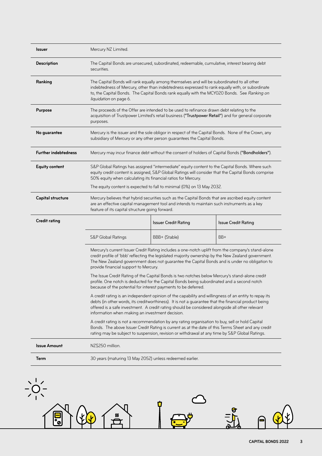| <b>Issuer</b>               | Mercury NZ Limited.                                                                                                                                                                                                                                                                                                                                                 |                             |                            |
|-----------------------------|---------------------------------------------------------------------------------------------------------------------------------------------------------------------------------------------------------------------------------------------------------------------------------------------------------------------------------------------------------------------|-----------------------------|----------------------------|
| <b>Description</b>          | The Capital Bonds are unsecured, subordinated, redeemable, cumulative, interest bearing debt<br>securities.                                                                                                                                                                                                                                                         |                             |                            |
| Ranking                     | The Capital Bonds will rank equally among themselves and will be subordinated to all other<br>indebtedness of Mercury, other than indebtedness expressed to rank equally with, or subordinate<br>to, the Capital Bonds. The Capital Bonds rank equally with the MCY020 Bonds. See Ranking on<br>liquidation on page 6.                                              |                             |                            |
| <b>Purpose</b>              | The proceeds of the Offer are intended to be used to refinance drawn debt relating to the<br>acquisition of Trustpower Limited's retail business ("Trustpower Retail") and for general corporate<br>purposes.                                                                                                                                                       |                             |                            |
| No guarantee                | Mercury is the issuer and the sole obligor in respect of the Capital Bonds. None of the Crown, any<br>subsidiary of Mercury or any other person guarantees the Capital Bonds.                                                                                                                                                                                       |                             |                            |
| <b>Further indebtedness</b> | Mercury may incur finance debt without the consent of holders of Capital Bonds ("Bondholders").                                                                                                                                                                                                                                                                     |                             |                            |
| <b>Equity content</b>       | S&P Global Ratings has assigned "intermediate" equity content to the Capital Bonds. Where such<br>equity credit content is assigned, S&P Global Ratings will consider that the Capital Bonds comprise<br>50% equity when calculating its financial ratios for Mercury.                                                                                              |                             |                            |
|                             | The equity content is expected to fall to minimal (0%) on 13 May 2032.                                                                                                                                                                                                                                                                                              |                             |                            |
| <b>Capital structure</b>    | Mercury believes that hybrid securities such as the Capital Bonds that are ascribed equity content<br>are an effective capital management tool and intends to maintain such instruments as a key<br>feature of its capital structure going forward.                                                                                                                 |                             |                            |
| <b>Credit rating</b>        |                                                                                                                                                                                                                                                                                                                                                                     | <b>Issuer Credit Rating</b> | <b>Issue Credit Rating</b> |
|                             | S&P Global Ratings                                                                                                                                                                                                                                                                                                                                                  | BBB+ (Stable)               | BB+                        |
|                             | Mercury's current Issuer Credit Rating includes a one-notch uplift from the company's stand-alone<br>credit profile of 'bbb' reflecting the legislated majority ownership by the New Zealand government.<br>The New Zealand government does not guarantee the Capital Bonds and is under no obligation to<br>provide financial support to Mercury.                  |                             |                            |
|                             | The Issue Credit Rating of the Capital Bonds is two notches below Mercury's stand-alone credit<br>profile. One notch is deducted for the Capital Bonds being subordinated and a second notch<br>because of the potential for interest payments to be deferred.                                                                                                      |                             |                            |
|                             | A credit rating is an independent opinion of the capability and willingness of an entity to repay its<br>debts (in other words, its creditworthiness). It is not a guarantee that the financial product being<br>offered is a safe investment. A credit rating should be considered alongside all other relevant<br>information when making an investment decision. |                             |                            |
|                             | A credit rating is not a recommendation by any rating organisation to buy, sell or hold Capital<br>Bonds. The above Issuer Credit Rating is current as at the date of this Terms Sheet and any credit<br>rating may be subject to suspension, revision or withdrawal at any time by S&P Global Ratings.                                                             |                             |                            |
| <b>Issue Amount</b>         | NZ\$250 million.                                                                                                                                                                                                                                                                                                                                                    |                             |                            |
|                             | 30 years (maturing 13 May 2052) unless redeemed earlier.                                                                                                                                                                                                                                                                                                            |                             |                            |

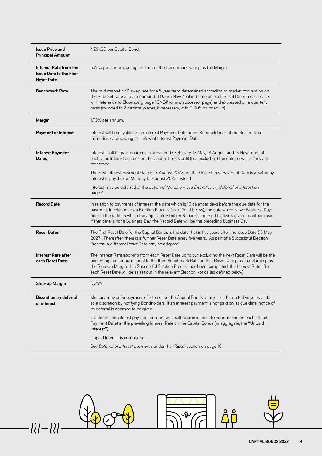| <b>Issue Price and</b><br><b>Principal Amount</b>                             | NZ\$1.00 per Capital Bond.                                                                                                                                                                                                                                                                                                                                                                                      |  |
|-------------------------------------------------------------------------------|-----------------------------------------------------------------------------------------------------------------------------------------------------------------------------------------------------------------------------------------------------------------------------------------------------------------------------------------------------------------------------------------------------------------|--|
| Interest Rate from the<br><b>Issue Date to the First</b><br><b>Reset Date</b> | 5.73% per annum, being the sum of the Benchmark Rate plus the Margin.                                                                                                                                                                                                                                                                                                                                           |  |
| <b>Benchmark Rate</b>                                                         | The mid market NZD swap rate for a 5 year term determined according to market convention on<br>the Rate Set Date and at or around 11.00am New Zealand time on each Reset Date, in each case<br>with reference to Bloomberg page 'ICNZ4' (or any successor page) and expressed on a quarterly<br>basis (rounded to 2 decimal places, if necessary, with 0.005 rounded up).                                       |  |
| Margin                                                                        | 1.70% per annum.                                                                                                                                                                                                                                                                                                                                                                                                |  |
| <b>Payment of interest</b>                                                    | Interest will be payable on an Interest Payment Date to the Bondholder as at the Record Date<br>immediately preceding the relevant Interest Payment Date.                                                                                                                                                                                                                                                       |  |
| <b>Interest Payment</b><br><b>Dates</b>                                       | Interest shall be paid quarterly in arrear on 13 February, 13 May, 13 August and 13 November of<br>each year. Interest accrues on the Capital Bonds until (but excluding) the date on which they are<br>redeemed.                                                                                                                                                                                               |  |
|                                                                               | The First Interest Payment Date is 13 August 2022. As the First Interest Payment Date is a Saturday,<br>interest is payable on Monday 15 August 2022 instead.                                                                                                                                                                                                                                                   |  |
|                                                                               | Interest may be deferred at the option of Mercury - see Discretionary deferral of interest on<br>page 4.                                                                                                                                                                                                                                                                                                        |  |
| <b>Record Date</b>                                                            | In relation to payments of interest, the date which is 10 calendar days before the due date for the<br>payment. In relation to an Election Process (as defined below), the date which is two Business Days<br>prior to the date on which the applicable Election Notice (as defined below) is given. In either case,<br>if that date is not a Business Day, the Record Date will be the preceding Business Day. |  |
| <b>Reset Dates</b>                                                            | The First Reset Date for the Capital Bonds is the date that is five years after the Issue Date (13 May<br>2027). Thereafter, there is a further Reset Date every five years. As part of a Successful Election<br>Process, a different Reset Date may be adopted.                                                                                                                                                |  |
| Interest Rate after<br>each Reset Date                                        | The Interest Rate applying from each Reset Date up to but excluding the next Reset Date will be the<br>percentage per annum equal to the then Benchmark Rate on that Reset Date plus the Margin plus<br>the Step-up Margin. If a Successful Election Process has been completed, the Interest Rate after<br>each Reset Date will be as set out in the relevant Election Notice (as defined below).              |  |
| Step-up Margin                                                                | $0.25%$ .                                                                                                                                                                                                                                                                                                                                                                                                       |  |
| <b>Discretionary deferral</b><br>of interest                                  | Mercury may defer payment of interest on the Capital Bonds at any time for up to five years at its<br>sole discretion by notifying Bondholders. If an interest payment is not paid on its due date, notice of<br>its deferral is deemed to be given.                                                                                                                                                            |  |
|                                                                               | If deferred, an interest payment amount will itself accrue interest (compounding on each Interest<br>Payment Date) at the prevailing Interest Rate on the Capital Bonds (in aggregate, the "Unpaid<br>Interest").                                                                                                                                                                                               |  |
|                                                                               | Unpaid Interest is cumulative.                                                                                                                                                                                                                                                                                                                                                                                  |  |
|                                                                               | See Deferral of interest payments under the "Risks" section on page 10.                                                                                                                                                                                                                                                                                                                                         |  |

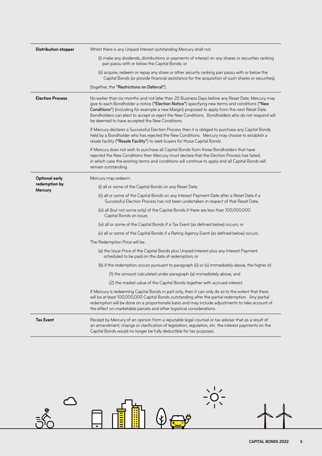| <b>Distribution stopper</b> | Whilst there is any Unpaid Interest outstanding Mercury shall not:                                                                                                                                                                                                                                                                                                                                                                                          |  |
|-----------------------------|-------------------------------------------------------------------------------------------------------------------------------------------------------------------------------------------------------------------------------------------------------------------------------------------------------------------------------------------------------------------------------------------------------------------------------------------------------------|--|
|                             | (i) make any dividends, distributions or payments of interest on any shares or securities ranking<br>pari passu with or below the Capital Bonds; or                                                                                                                                                                                                                                                                                                         |  |
|                             | (ii) acquire, redeem or repay any share or other security ranking pari passu with or below the<br>Capital Bonds (or provide financial assistance for the acquisition of such shares or securities),                                                                                                                                                                                                                                                         |  |
|                             | (together, the "Restrictions on Deferral").                                                                                                                                                                                                                                                                                                                                                                                                                 |  |
| <b>Election Process</b>     | No earlier than six months and not later than 20 Business Days before any Reset Date, Mercury may<br>give to each Bondholder a notice ("Election Notice") specifying new terms and conditions ("New<br>Conditions") (including for example a new Margin) proposed to apply from the next Reset Date.<br>Bondholders can elect to accept or reject the New Conditions. Bondholders who do not respond will<br>be deemed to have accepted the New Conditions. |  |
|                             | If Mercury declares a Successful Election Process then it is obliged to purchase any Capital Bonds<br>held by a Bondholder who has rejected the New Conditions. Mercury may choose to establish a<br>resale facility ("Resale Facility") to seek buyers for those Capital Bonds.                                                                                                                                                                            |  |
|                             | If Mercury does not wish to purchase all Capital Bonds from those Bondholders that have<br>rejected the New Conditions then Mercury must declare that the Election Process has failed,<br>in which case the existing terms and conditions will continue to apply and all Capital Bonds will<br>remain outstanding.                                                                                                                                          |  |
| <b>Optional early</b>       | Mercury may redeem:                                                                                                                                                                                                                                                                                                                                                                                                                                         |  |
| redemption by               | (i) all or some of the Capital Bonds on any Reset Date;                                                                                                                                                                                                                                                                                                                                                                                                     |  |
| <b>Mercury</b>              | (ii) all or some of the Capital Bonds on any Interest Payment Date after a Reset Date if a<br>Successful Election Process has not been undertaken in respect of that Reset Date;                                                                                                                                                                                                                                                                            |  |
|                             | (iii) all (but not some only) of the Capital Bonds if there are less than 100,000,000<br>Capital Bonds on issue;                                                                                                                                                                                                                                                                                                                                            |  |
|                             | (iv) all or some of the Capital Bonds if a Tax Event (as defined below) occurs; or                                                                                                                                                                                                                                                                                                                                                                          |  |
|                             | (v) all or some of the Capital Bonds if a Rating Agency Event (as defined below) occurs.                                                                                                                                                                                                                                                                                                                                                                    |  |
|                             | The Redemption Price will be:                                                                                                                                                                                                                                                                                                                                                                                                                               |  |
|                             | (a) the Issue Price of the Capital Bonds plus Unpaid Interest plus any Interest Payment<br>scheduled to be paid on the date of redemption; or                                                                                                                                                                                                                                                                                                               |  |
|                             | (b) if the redemption occurs pursuant to paragraph (ii) or $(v)$ immediately above, the higher of:                                                                                                                                                                                                                                                                                                                                                          |  |
|                             | (1) the amount calculated under paragraph (a) immediately above; and                                                                                                                                                                                                                                                                                                                                                                                        |  |
|                             | (2) the market value of the Capital Bonds together with accrued interest.                                                                                                                                                                                                                                                                                                                                                                                   |  |
|                             | If Mercury is redeeming Capital Bonds in part only, then it can only do so to the extent that there<br>will be at least 100,000,000 Capital Bonds outstanding after the partial redemption. Any partial<br>redemption will be done on a proportionate basis and may include adjustments to take account of<br>the effect on marketable parcels and other logistical considerations.                                                                         |  |
| <b>Tax Event</b>            | Receipt by Mercury of an opinion from a reputable legal counsel or tax adviser that as a result of<br>an amendment, change or clarification of legislation, regulation, etc. the interest payments on the<br>Capital Bonds would no longer be fully deductible for tax purposes.                                                                                                                                                                            |  |

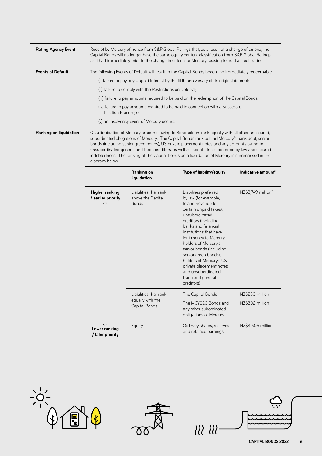| <b>Rating Agency Event</b> | Receipt by Mercury of notice from S&P Global Ratings that, as a result of a change of criteria, the<br>Capital Bonds will no longer have the same equity content classification from S&P Global Ratings<br>as it had immediately prior to the change in criteria, or Mercury ceasing to hold a credit rating.                                                                                                                                                                                                    |
|----------------------------|------------------------------------------------------------------------------------------------------------------------------------------------------------------------------------------------------------------------------------------------------------------------------------------------------------------------------------------------------------------------------------------------------------------------------------------------------------------------------------------------------------------|
| <b>Events of Default</b>   | The following Events of Default will result in the Capital Bonds becoming immediately redeemable:<br>(i) failure to pay any Unpaid Interest by the fifth anniversary of its original deferral;<br>(ii) failure to comply with the Restrictions on Deferral;<br>(iii) failure to pay amounts required to be paid on the redemption of the Capital Bonds;<br>(iv) failure to pay amounts required to be paid in connection with a Successful<br>Election Process; or<br>(v) an insolvency event of Mercury occurs. |
| Ranking on liquidation     | On a liquidation of Mercury amounts owing to Bondholders rank equally with all other unsecured,<br>subordinated obligations of Morcury. The Capital Bonds rank behind Morcury's bank debt, senior                                                                                                                                                                                                                                                                                                                |

linated obligations of Mercury. The Capital Bonds rank behind Mercury's bank debt, ser bonds (including senior green bonds), US private placement notes and any amounts owing to unsubordinated general and trade creditors, as well as indebtedness preferred by law and secured indebtedness. The ranking of the Capital Bonds on a liquidation of Mercury is summarised in the diagram below.

|                                      | Ranking on<br>liquidation                                  | Type of liability/equity                                                                                                                                                                                                                                                                                                                                                                                     | Indicative amount <sup>1</sup>     |
|--------------------------------------|------------------------------------------------------------|--------------------------------------------------------------------------------------------------------------------------------------------------------------------------------------------------------------------------------------------------------------------------------------------------------------------------------------------------------------------------------------------------------------|------------------------------------|
| Higher ranking<br>/ earlier priority | Liabilities that rank<br>above the Capital<br><b>Bonds</b> | Liabilities preferred<br>by law (for example,<br>Inland Revenue for<br>certain unpaid taxes),<br>unsubordinated<br>creditors (including<br>banks and financial<br>institutions that have<br>lent money to Mercury,<br>holders of Mercury's<br>senior bonds (including<br>senior green bonds),<br>holders of Mercury's US<br>private placement notes<br>and unsubordinated<br>trade and general<br>creditors) | NZ\$3,749 million <sup>2</sup>     |
|                                      | Liabilities that rank<br>equally with the<br>Capital Bonds | The Capital Bonds<br>The MCY020 Bonds and<br>any other subordinated<br>obligations of Mercury                                                                                                                                                                                                                                                                                                                | NZ\$250 million<br>NZ\$302 million |
| Lower ranking<br>/ later priority    | Equity                                                     | Ordinary shares, reserves<br>and retained earnings                                                                                                                                                                                                                                                                                                                                                           | NZ\$4,605 million                  |

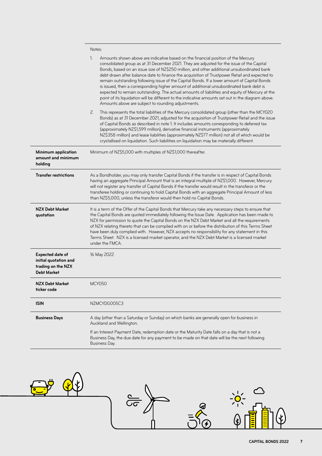|                                                                                              | Notes:                                                                                                                                                                                                                                                                                                                                                                                                                                                                                                                                                                                                                                                                                                                                                                                                                                      |  |
|----------------------------------------------------------------------------------------------|---------------------------------------------------------------------------------------------------------------------------------------------------------------------------------------------------------------------------------------------------------------------------------------------------------------------------------------------------------------------------------------------------------------------------------------------------------------------------------------------------------------------------------------------------------------------------------------------------------------------------------------------------------------------------------------------------------------------------------------------------------------------------------------------------------------------------------------------|--|
|                                                                                              | 1.<br>Amounts shown above are indicative based on the financial position of the Mercury<br>consolidated group as at 31 December 2021. They are adjusted for the issue of the Capital<br>Bonds, based on an issue size of NZ\$250 million, and other additional unsubordinated bank<br>debt drawn after balance date to finance the acquisition of Trustpower Retail and expected to<br>remain outstanding following issue of the Capital Bonds. If a lower amount of Capital Bonds<br>is issued, then a corresponding higher amount of additional unsubordinated bank debt is<br>expected to remain outstanding. The actual amounts of liabilities and equity of Mercury at the<br>point of its liquidation will be different to the indicative amounts set out in the diagram above.<br>Amounts above are subject to rounding adjustments. |  |
|                                                                                              | 2.<br>This represents the total liabilities of the Mercury consolidated group (other than the MCY020<br>Bonds) as at 31 December 2021, adjusted for the acquisition of Trustpower Retail and the issue<br>of Capital Bonds as described in note 1. It includes amounts corresponding to deferred tax<br>(approximately NZ\$1,599 million), derivative financial instruments (approximately<br>NZ\$358 million) and lease liabilities (approximately NZ\$77 million) not all of which would be<br>crystallised on liquidation. Such liabilities on liquidation may be materially different.                                                                                                                                                                                                                                                  |  |
| <b>Minimum application</b><br>amount and minimum<br>holding                                  | Minimum of NZ\$5,000 with multiples of NZ\$1,000 thereafter.                                                                                                                                                                                                                                                                                                                                                                                                                                                                                                                                                                                                                                                                                                                                                                                |  |
| <b>Transfer restrictions</b>                                                                 | As a Bondholder, you may only transfer Capital Bonds if the transfer is in respect of Capital Bonds<br>having an aggregate Principal Amount that is an integral multiple of NZ\$1,000. However, Mercury<br>will not register any transfer of Capital Bonds if the transfer would result in the transferor or the<br>transferee holding or continuing to hold Capital Bonds with an aggregate Principal Amount of less<br>than NZ\$5,000, unless the transferor would then hold no Capital Bonds.                                                                                                                                                                                                                                                                                                                                            |  |
| <b>NZX Debt Market</b><br>quotation                                                          | It is a term of the Offer of the Capital Bonds that Mercury take any necessary steps to ensure that<br>the Capital Bonds are quoted immediately following the Issue Date. Application has been made to<br>NZX for permission to quote the Capital Bonds on the NZX Debt Market and all the requirements<br>of NZX relating thereto that can be complied with on or before the distribution of this Terms Sheet<br>have been duly complied with. However, NZX accepts no responsibility for any statement in this<br>Terms Sheet. NZX is a licensed market operator, and the NZX Debt Market is a licensed market<br>under the FMCA.                                                                                                                                                                                                         |  |
| <b>Expected date of</b><br>initial quotation and<br>trading on the NZX<br><b>Debt Market</b> | 16 May 2022                                                                                                                                                                                                                                                                                                                                                                                                                                                                                                                                                                                                                                                                                                                                                                                                                                 |  |
| <b>NZX Debt Market</b><br>ticker code                                                        | <b>MCY050</b>                                                                                                                                                                                                                                                                                                                                                                                                                                                                                                                                                                                                                                                                                                                                                                                                                               |  |
| <b>ISIN</b>                                                                                  | NZMCYDG005C3                                                                                                                                                                                                                                                                                                                                                                                                                                                                                                                                                                                                                                                                                                                                                                                                                                |  |
| <b>Business Days</b>                                                                         | A day (other than a Saturday or Sunday) on which banks are generally open for business in<br>Auckland and Wellington.                                                                                                                                                                                                                                                                                                                                                                                                                                                                                                                                                                                                                                                                                                                       |  |
|                                                                                              | If an Interest Payment Date, redemption date or the Maturity Date falls on a day that is not a<br>Business Day, the due date for any payment to be made on that date will be the next following<br>Business Day.                                                                                                                                                                                                                                                                                                                                                                                                                                                                                                                                                                                                                            |  |

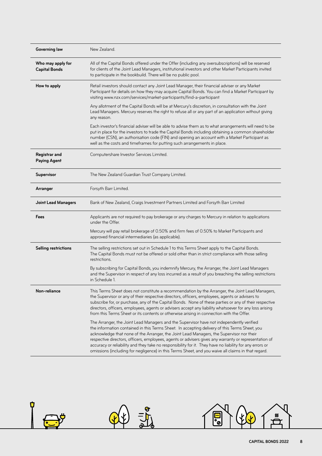| <b>Governing law</b>                        | New Zealand.                                                                                                                                                                                                                                                                                                                                                                                                                                                                                                                                                                                                     |  |
|---------------------------------------------|------------------------------------------------------------------------------------------------------------------------------------------------------------------------------------------------------------------------------------------------------------------------------------------------------------------------------------------------------------------------------------------------------------------------------------------------------------------------------------------------------------------------------------------------------------------------------------------------------------------|--|
| Who may apply for<br><b>Capital Bonds</b>   | All of the Capital Bonds offered under the Offer (including any oversubscriptions) will be reserved<br>for clients of the Joint Lead Managers, institutional investors and other Market Participants invited<br>to participate in the bookbuild. There will be no public pool.                                                                                                                                                                                                                                                                                                                                   |  |
| How to apply                                | Retail investors should contact any Joint Lead Manager, their financial adviser or any Market<br>Participant for details on how they may acquire Capital Bonds. You can find a Market Participant by<br>visiting www.nzx.com/services/market-participants/find-a-participant                                                                                                                                                                                                                                                                                                                                     |  |
|                                             | Any allotment of the Capital Bonds will be at Mercury's discretion, in consultation with the Joint<br>Lead Managers. Mercury reserves the right to refuse all or any part of an application without giving<br>any reason.                                                                                                                                                                                                                                                                                                                                                                                        |  |
|                                             | Each investor's financial adviser will be able to advise them as to what arrangements will need to be<br>put in place for the investors to trade the Capital Bonds including obtaining a common shareholder<br>number (CSN), an authorisation code (FIN) and opening an account with a Market Participant as<br>well as the costs and timeframes for putting such arrangements in place.                                                                                                                                                                                                                         |  |
| <b>Registrar and</b><br><b>Paying Agent</b> | Computershare Investor Services Limited.                                                                                                                                                                                                                                                                                                                                                                                                                                                                                                                                                                         |  |
| <b>Supervisor</b>                           | The New Zealand Guardian Trust Company Limited.                                                                                                                                                                                                                                                                                                                                                                                                                                                                                                                                                                  |  |
| Arranger                                    | Forsyth Barr Limited.                                                                                                                                                                                                                                                                                                                                                                                                                                                                                                                                                                                            |  |
| <b>Joint Lead Managers</b>                  | Bank of New Zealand, Craigs Investment Partners Limited and Forsyth Barr Limited                                                                                                                                                                                                                                                                                                                                                                                                                                                                                                                                 |  |
| Fees                                        | Applicants are not required to pay brokerage or any charges to Mercury in relation to applications<br>under the Offer.                                                                                                                                                                                                                                                                                                                                                                                                                                                                                           |  |
|                                             | Mercury will pay retail brokerage of 0.50% and firm fees of 0.50% to Market Participants and<br>approved financial intermediaries (as applicable).                                                                                                                                                                                                                                                                                                                                                                                                                                                               |  |
| <b>Selling restrictions</b>                 | The selling restrictions set out in Schedule 1 to this Terms Sheet apply to the Capital Bonds.<br>The Capital Bonds must not be offered or sold other than in strict compliance with those selling<br>restrictions.                                                                                                                                                                                                                                                                                                                                                                                              |  |
|                                             | By subscribing for Capital Bonds, you indemnify Mercury, the Arranger, the Joint Lead Managers<br>and the Supervisor in respect of any loss incurred as a result of you breaching the selling restrictions<br>in Schedule 1.                                                                                                                                                                                                                                                                                                                                                                                     |  |
| Non-reliance                                | This Terms Sheet does not constitute a recommendation by the Arranger, the Joint Lead Managers,<br>the Supervisor or any of their respective directors, officers, employees, agents or advisers to<br>subscribe for, or purchase, any of the Capital Bonds. None of these parties or any of their respective<br>directors, officers, employees, agents or advisers accept any liability whatsoever for any loss arising<br>from this Terms Sheet or its contents or otherwise arising in connection with the Offer.                                                                                              |  |
|                                             | The Arranger, the Joint Lead Managers and the Supervisor have not independently verified<br>the information contained in this Terms Sheet. In accepting delivery of this Terms Sheet, you<br>acknowledge that none of the Arranger, the Joint Lead Managers, the Supervisor nor their<br>respective directors, officers, employees, agents or advisers gives any warranty or representation of<br>accuracy or reliability and they take no responsibility for it. They have no liability for any errors or<br>omissions (including for negligence) in this Terms Sheet, and you waive all claims in that regard. |  |

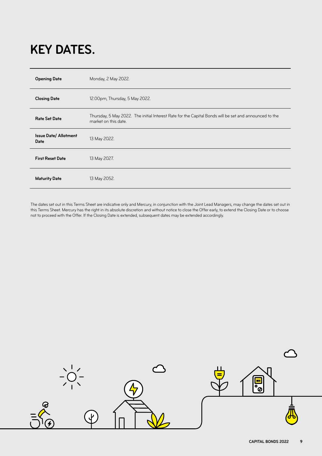# **KEY DATES.**

| <b>Opening Date</b>                         | Monday, 2 May 2022.                                                                                                            |
|---------------------------------------------|--------------------------------------------------------------------------------------------------------------------------------|
| <b>Closing Date</b>                         | 12.00pm, Thursday, 5 May 2022.                                                                                                 |
| <b>Rate Set Date</b>                        | Thursday, 5 May 2022. The initial Interest Rate for the Capital Bonds will be set and announced to the<br>market on this date. |
| <b>Issue Date/ Allotment</b><br><b>Date</b> | 13 May 2022.                                                                                                                   |
| <b>First Reset Date</b>                     | 13 May 2027.                                                                                                                   |
| <b>Maturity Date</b>                        | 13 May 2052.                                                                                                                   |

The dates set out in this Terms Sheet are indicative only and Mercury, in conjunction with the Joint Lead Managers, may change the dates set out in this Terms Sheet. Mercury has the right in its absolute discretion and without notice to close the Offer early, to extend the Closing Date or to choose not to proceed with the Offer. If the Closing Date is extended, subsequent dates may be extended accordingly.

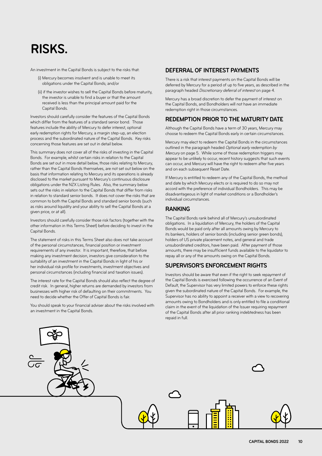# **RISKS.**

An investment in the Capital Bonds is subject to the risks that:

- (i) Mercury becomes insolvent and is unable to meet its obligations under the Capital Bonds; and/or
- (ii) if the investor wishes to sell the Capital Bonds before maturity, the investor is unable to find a buyer or that the amount received is less than the principal amount paid for the Capital Bonds.

Investors should carefully consider the features of the Capital Bonds which differ from the features of a standard senior bond. Those features include the ability of Mercury to defer interest, optional early redemption rights for Mercury, a margin step-up, an election process and the subordinated nature of the Capital Bonds. Key risks concerning those features are set out in detail below.

This summary does not cover all of the risks of investing in the Capital Bonds. For example, whilst certain risks in relation to the Capital Bonds are set out in more detail below, those risks relating to Mercury, rather than the Capital Bonds themselves, are not set out below on the basis that information relating to Mercury and its operations is already disclosed to the market pursuant to Mercury's continuous disclosure obligations under the NZX Listing Rules. Also, the summary below sets out the risks in relation to the Capital Bonds that differ from risks in relation to standard senior bonds. It does not cover the risks that are common to both the Capital Bonds and standard senior bonds (such as risks around liquidity and your ability to sell the Capital Bonds at a given price, or at all).

Investors should carefully consider those risk factors (together with the other information in this Terms Sheet) before deciding to invest in the Capital Bonds.

The statement of risks in this Terms Sheet also does not take account of the personal circumstances, financial position or investment requirements of any investor. It is important, therefore, that before making any investment decision, investors give consideration to the suitability of an investment in the Capital Bonds in light of his or her individual risk profile for investments, investment objectives and personal circumstances (including financial and taxation issues).

The interest rate for the Capital Bonds should also reflect the degree of credit risk. In general, higher returns are demanded by investors from businesses with higher risk of defaulting on their commitments. You need to decide whether the Offer of Capital Bonds is fair.

You should speak to your financial adviser about the risks involved with an investment in the Capital Bonds.

### **DEFERRAL OF INTEREST PAYMENTS**

There is a risk that interest payments on the Capital Bonds will be deferred by Mercury for a period of up to five years, as described in the paragraph headed Discretionary deferral of interest on page 4.

Mercury has a broad discretion to defer the payment of interest on the Capital Bonds, and Bondholders will not have an immediate redemption right in those circumstances.

# **REDEMPTION PRIOR TO THE MATURITY DATE**

Although the Capital Bonds have a term of 30 years, Mercury may choose to redeem the Capital Bonds early in certain circumstances.

Mercury may elect to redeem the Capital Bonds in the circumstances outlined in the paragraph headed Optional early redemption by Mercury on page 5. While some of those redemption triggers may appear to be unlikely to occur, recent history suggests that such events can occur, and Mercury will have the right to redeem after five years and on each subsequent Reset Date.

If Mercury is entitled to redeem any of the Capital Bonds, the method and date by which Mercury elects or is required to do so may not accord with the preference of individual Bondholders. This may be disadvantageous in light of market conditions or a Bondholder's individual circumstances.

# **RANKING**

The Capital Bonds rank behind all of Mercury's unsubordinated obligations. In a liquidation of Mercury, the holders of the Capital Bonds would be paid only after all amounts owing by Mercury to its bankers, holders of senior bonds (including senior green bonds), holders of US private placement notes, and general and trade unsubordinated creditors, have been paid. After payment of those amounts, there may be insufficient funds available to the liquidator to repay all or any of the amounts owing on the Capital Bonds.

# **SUPERVISOR'S ENFORCEMENT RIGHTS**

Investors should be aware that even if the right to seek repayment of the Capital Bonds is exercised following the occurrence of an Event of Default, the Supervisor has very limited powers to enforce these rights given the subordinated nature of the Capital Bonds. For example, the Supervisor has no ability to appoint a receiver with a view to recovering amounts owing to Bondholders and is only entitled to file a conditional claim in the event of the liquidation of the Issuer requiring repayment of the Capital Bonds after all prior ranking indebtedness has been repaid in full.

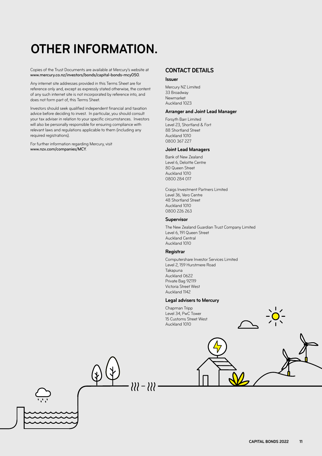# **OTHER INFORMATION.**

Copies of the Trust Documents are available at Mercury's website at [www.mercury.co.nz/investors/bonds/capital-bonds-mcy050](http://www.mercury.co.nz/investors/bonds/capital-bonds-mcy050).

Any internet site addresses provided in this Terms Sheet are for reference only and, except as expressly stated otherwise, the content of any such internet site is not incorporated by reference into, and does not form part of, this Terms Sheet.

Investors should seek qualified independent financial and taxation advice before deciding to invest. In particular, you should consult your tax adviser in relation to your specific circumstances. Investors will also be personally responsible for ensuring compliance with relevant laws and regulations applicable to them (including any required registrations).

For further information regarding Mercury, visit [www.nzx.com/companies/MCY](http://www.nzx.com/companies/MCY).

### **CONTACT DETAILS**

#### **Issuer**

Mercury NZ Limited 33 Broadway Newmarket Auckland 1023

#### **Arranger and Joint Lead Manager**

Forsyth Barr Limited Level 23, Shortland & Fort 88 Shortland Street Auckland 1010 0800 367 227

#### **Joint Lead Managers**

Bank of New Zealand Level 6, Deloitte Centre 80 Queen Street Auckland 1010 0800 284 017

Craigs Investment Partners Limited Level 36, Vero Centre 48 Shortland Street Auckland 1010 0800 226 263

#### **Supervisor**

The New Zealand Guardian Trust Company Limited Level 6, 191 Queen Street Auckland Central Auckland 1010

#### **Registrar**

Computershare Investor Services Limited Level 2, 159 Hurstmere Road Takapuna Auckland 0622 Private Bag 92119 Victoria Street West Auckland 1142

#### **Legal advisers to Mercury**

Chapman Tripp Level 34, PwC Tower 15 Customs Street West Auckland 1010

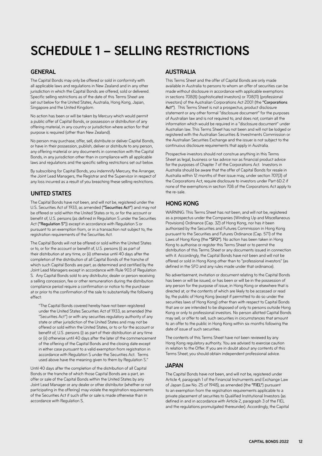# **SCHEDULE 1 – SELLING RESTRICTIONS**

### **GENERAL**

The Capital Bonds may only be offered or sold in conformity with all applicable laws and regulations in New Zealand and in any other jurisdiction in which the Capital Bonds are offered, sold or delivered. Specific selling restrictions as of the date of this Terms Sheet are set out below for the United States, Australia, Hong Kong, Japan, Singapore and the United Kingdom.

No action has been or will be taken by Mercury which would permit a public offer of Capital Bonds, or possession or distribution of any offering material, in any country or jurisdiction where action for that purpose is required (other than New Zealand).

No person may purchase, offer, sell, distribute or deliver Capital Bonds, or have in their possession, publish, deliver or distribute to any person, any offering material or any documents in connection with the Capital Bonds, in any jurisdiction other than in compliance with all applicable laws and regulations and the specific selling restrictions set out below.

By subscribing for Capital Bonds, you indemnify Mercury, the Arranger, the Joint Lead Managers, the Registrar and the Supervisor in respect of any loss incurred as a result of you breaching these selling restrictions.

# **UNITED STATES**

The Capital Bonds have not been, and will not be, registered under the U.S. Securities Act of 1933, as amended ("Securities Act") and may not be offered or sold within the United States or to, or for the account or benefit of, U.S. persons (as defined in Regulation S under the Securities Act ("Regulation S")) except in accordance with Regulation S or pursuant to an exemption from, or in a transaction not subject to, the registration requirements of the Securities Act.

The Capital Bonds will not be offered or sold within the United States or to, or for the account or benefit of, U.S. persons (i) as part of their distribution at any time, or (ii) otherwise until 40 days after the completion of the distribution of all Capital Bonds of the tranche of which such Capital Bonds are part, as determined and certified by the Joint Lead Managers except in accordance with Rule 903 of Regulation S. Any Capital Bonds sold to any distributor, dealer or person receiving a selling concession, fee or other remuneration during the distribution compliance period require a confirmation or notice to the purchaser at or prior to the confirmation of the sale to substantially the following effect:

"The Capital Bonds covered hereby have not been registered under the United States Securities Act of 1933, as amended (the "Securities Act") or with any securities regulatory authority of any state or other jurisdiction of the United States and may not be offered or sold within the United States, or to or for the account or benefit of, U.S. persons (i) as part of their distribution at any time or (ii) otherwise until 40 days after the later of the commencement of the offering of the Capital Bonds and the closing date except in either case pursuant to a valid exemption from registration in accordance with Regulation S under the Securities Act. Terms used above have the meaning given to them by Regulation S."

Until 40 days after the completion of the distribution of all Capital Bonds or the tranche of which those Capital Bonds are a part, an offer or sale of the Capital Bonds within the United States by any Joint Lead Manager or any dealer or other distributor (whether or not participating in the offering) may violate the registration requirements of the Securities Act if such offer or sale is made otherwise than in accordance with Regulation S.

### **AUSTRALIA**

This Terms Sheet and the offer of Capital Bonds are only made available in Australia to persons to whom an offer of securities can be made without disclosure in accordance with applicable exemptions in sections 708(8) (sophisticated investors) or 708(11) (professional investors) of the Australian Corporations Act 2001 (the "Corporations Act"). This Terms Sheet is not a prospectus, product disclosure statement or any other formal "disclosure document" for the purposes of Australian law and is not required to, and does not, contain all the information which would be required in a "disclosure document" under Australian law. This Terms Sheet has not been and will not be lodged or registered with the Australian Securities & Investments Commission or the Australian Securities Exchange and the issuer is not subject to the continuous disclosure requirements that apply in Australia.

Prospective investors should not construe anything in this Terms Sheet as legal, business or tax advice nor as financial product advice for the purposes of Chapter 7 of the Corporations Act. Investors in Australia should be aware that the offer of Capital Bonds for resale in Australia within 12 months of their issue may, under section 707(3) of the Corporations Act, require disclosure to investors under Part 6D.2 if none of the exemptions in section 708 of the Corporations Act apply to the re-sale.

# **HONG KONG**

WARNING: This Terms Sheet has not been, and will not be, registered as a prospectus under the Companies (Winding Up and Miscellaneous Provisions) Ordinance (Cap. 32) of Hong Kong, nor has it been authorised by the Securities and Futures Commission in Hong Kong pursuant to the Securities and Futures Ordinance (Cap. 571) of the Laws of Hong Kong (the "SFO"). No action has been taken in Hong Kong to authorise or register this Terms Sheet or to permit the distribution of this Terms Sheet or any documents issued in connection with it. Accordingly, the Capital Bonds have not been and will not be offered or sold in Hong Kong other than to "professional investors" (as defined in the SFO and any rules made under that ordinance).

No advertisement, invitation or document relating to the Capital Bonds has been or will be issued, or has been or will be in the possession of any person for the purpose of issue, in Hong Kong or elsewhere that is directed at, or the contents of which are likely to be accessed or read by, the public of Hong Kong (except if permitted to do so under the securities laws of Hong Kong) other than with respect to Capital Bonds that are or are intended to be disposed of only to persons outside Hong Kong or only to professional investors. No person allotted Capital Bonds may sell, or offer to sell, such securities in circumstances that amount to an offer to the public in Hong Kong within six months following the date of issue of such securities.

The contents of this Terms Sheet have not been reviewed by any Hong Kong regulatory authority. You are advised to exercise caution in relation to the Offer. If you are in doubt about any contents of this Terms Sheet, you should obtain independent professional advice.

# **JAPAN**

The Capital Bonds have not been, and will not be, registered under Article 4, paragraph 1 of the Financial Instruments and Exchange Law of Japan (Law No. 25 of 1948), as amended (the "FIEL") pursuant to an exemption from the registration requirements applicable to a private placement of securities to Qualified Institutional Investors (as defined in and in accordance with Article 2, paragraph 3 of the FIEL and the regulations promulgated thereunder). Accordingly, the Capital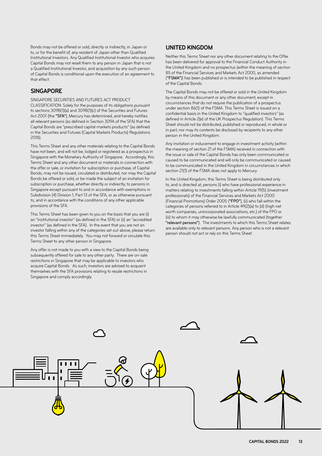Bonds may not be offered or sold, directly or indirectly, in Japan or to, or for the benefit of, any resident of Japan other than Qualified Institutional Investors. Any Qualified Institutional Investor who acquires Capital Bonds may not resell them to any person in Japan that is not a Qualified Institutional Investor, and acquisition by any such person of Capital Bonds is conditional upon the execution of an agreement to that effect.

### **SINGAPORE**

SINGAPORE SECURITIES AND FUTURES ACT PRODUCT CLASSIFICATION: Solely for the purposes of its obligations pursuant to sections 309B(1)(a) and 309B(1)(c) of the Securities and Futures Act 2001 (the "SFA"), Mercury has determined, and hereby notifies all relevant persons (as defined in Section 309A of the SFA) that the Capital Bonds are "prescribed capital markets products" (as defined in the Securities and Futures (Capital Markets Products) Regulations 2018).

This Terms Sheet and any other materials relating to the Capital Bonds have not been, and will not be, lodged or registered as a prospectus in Singapore with the Monetary Authority of Singapore. Accordingly, this Terms Sheet and any other document or materials in connection with the offer or sale, or invitation for subscription or purchase, of Capital Bonds, may not be issued, circulated or distributed, nor may the Capital Bonds be offered or sold, or be made the subject of an invitation for subscription or purchase, whether directly or indirectly, to persons in Singapore except pursuant to and in accordance with exemptions in Subdivision (4) Division 1, Part 13 of the SFA, or as otherwise pursuant to, and in accordance with the conditions of any other applicable provisions of the SFA.

This Terms Sheet has been given to you on the basis that you are (i) an "institutional investor" (as defined in the SFA) or (ii) an "accredited investor" (as defined in the SFA). In the event that you are not an investor falling within any of the categories set out above, please return this Terms Sheet immediately. You may not forward or circulate this Terms Sheet to any other person in Singapore.

Any offer is not made to you with a view to the Capital Bonds being subsequently offered for sale to any other party. There are on-sale restrictions in Singapore that may be applicable to investors who acquire Capital Bonds. As such, investors are advised to acquaint themselves with the SFA provisions relating to resale restrictions in Singapore and comply accordingly.

# **UNITED KINGDOM**

Neither this Terms Sheet nor any other document relating to the Offer has been delivered for approval to the Financial Conduct Authority in the United Kingdom and no prospectus (within the meaning of section 85 of the Financial Services and Markets Act 2000, as amended ("FSMA")) has been published or is intended to be published in respect of the Capital Bonds.

The Capital Bonds may not be offered or sold in the United Kingdom by means of this document or any other document, except in circumstances that do not require the publication of a prospectus under section 86(1) of the FSMA. This Terms Sheet is issued on a confidential basis in the United Kingdom to "qualified investors" (as defined in Article 2(e) of the UK Prospectus Regulation). This Terms Sheet should not be distributed, published or reproduced, in whole or in part, nor may its contents be disclosed by recipients to any other person in the United Kingdom.

Any invitation or inducement to engage in investment activity (within the meaning of section 21 of the FSMA) received in connection with the issue or sale of the Capital Bonds has only been communicated or caused to be communicated and will only be communicated or caused to be communicated in the United Kingdom in circumstances in which section 21(1) of the FSMA does not apply to Mercury.

In the United Kingdom, this Terms Sheet is being distributed only to, and is directed at, persons (i) who have professional experience in matters relating to investments falling within Article 19(5) (investment professionals) of the Financial Services and Markets Act 2000 (Financial Promotions) Order 2005 ("FPO"), (ii) who fall within the categories of persons referred to in Article 49(2)(a) to (d) (high net worth companies, unincorporated associations, etc.) of the FPO or (iii) to whom it may otherwise be lawfully communicated (together "relevant persons"). The investments to which this Terms Sheet relates are available only to relevant persons. Any person who is not a relevant person should not act or rely on this Terms Sheet.